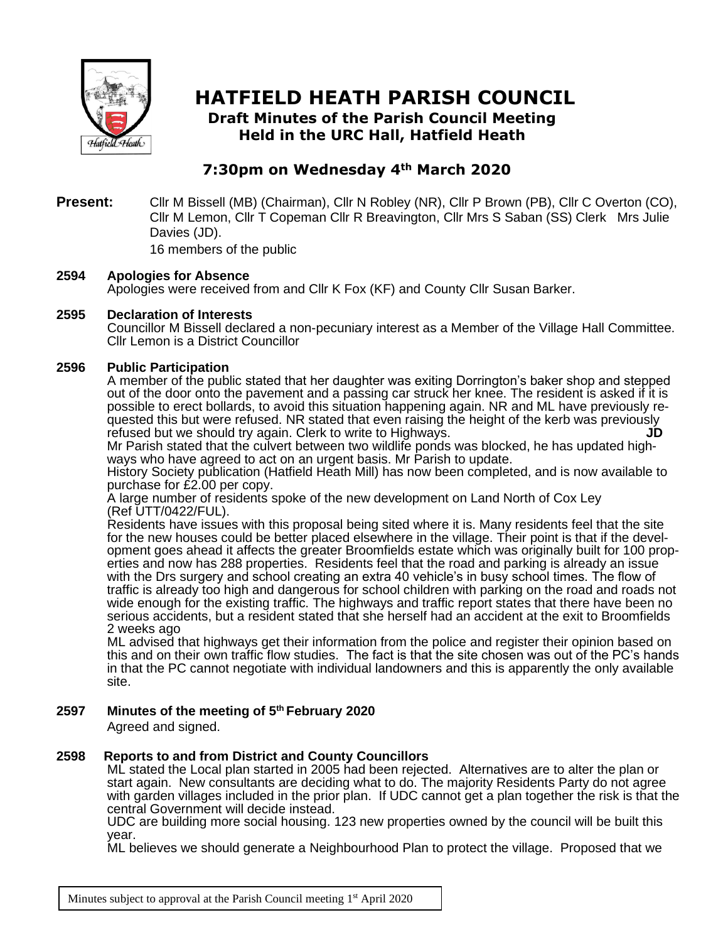

# **HATFIELD HEATH PARISH COUNCIL**

**Draft Minutes of the Parish Council Meeting Held in the URC Hall, Hatfield Heath**

## **7:30pm on Wednesday 4th March 2020**

**Present:** Cllr M Bissell (MB) (Chairman), Cllr N Robley (NR), Cllr P Brown (PB), Cllr C Overton (CO), Cllr M Lemon, Cllr T Copeman Cllr R Breavington, Cllr Mrs S Saban (SS) Clerk Mrs Julie Davies (JD).

16 members of the public

## **2594 Apologies for Absence**

Apologies were received from and Cllr K Fox (KF) and County Cllr Susan Barker.

## **2595 Declaration of Interests**

Councillor M Bissell declared a non-pecuniary interest as a Member of the Village Hall Committee. Cllr Lemon is a District Councillor

## **2596 Public Participation**

A member of the public stated that her daughter was exiting Dorrington's baker shop and stepped out of the door onto the pavement and a passing car struck her knee. The resident is asked if it is possible to erect bollards, to avoid this situation happening again. NR and ML have previously requested this but were refused. NR stated that even raising the height of the kerb was previously<br>refused but we should try again. Clerk to write to Highways refused but we should try again. Clerk to write to Highways.

Mr Parish stated that the culvert between two wildlife ponds was blocked, he has updated highways who have agreed to act on an urgent basis. Mr Parish to update.

History Society publication (Hatfield Heath Mill) has now been completed, and is now available to purchase for £2.00 per copy.

A large number of residents spoke of the new development on Land North of Cox Ley (Ref UTT/0422/FUL).

Residents have issues with this proposal being sited where it is. Many residents feel that the site for the new houses could be better placed elsewhere in the village. Their point is that if the development goes ahead it affects the greater Broomfields estate which was originally built for 100 properties and now has 288 properties. Residents feel that the road and parking is already an issue with the Drs surgery and school creating an extra 40 vehicle's in busy school times. The flow of traffic is already too high and dangerous for school children with parking on the road and roads not wide enough for the existing traffic. The highways and traffic report states that there have been no serious accidents, but a resident stated that she herself had an accident at the exit to Broomfields 2 weeks ago

ML advised that highways get their information from the police and register their opinion based on this and on their own traffic flow studies. The fact is that the site chosen was out of the PC's hands in that the PC cannot negotiate with individual landowners and this is apparently the only available site.

## **2597 Minutes of the meeting of 5 th February 2020**

Agreed and signed.

#### **2598 Reports to and from District and County Councillors**

ML stated the Local plan started in 2005 had been rejected. Alternatives are to alter the plan or start again. New consultants are deciding what to do. The majority Residents Party do not agree with garden villages included in the prior plan. If UDC cannot get a plan together the risk is that the central Government will decide instead.

UDC are building more social housing. 123 new properties owned by the council will be built this year.

ML believes we should generate a Neighbourhood Plan to protect the village. Proposed that we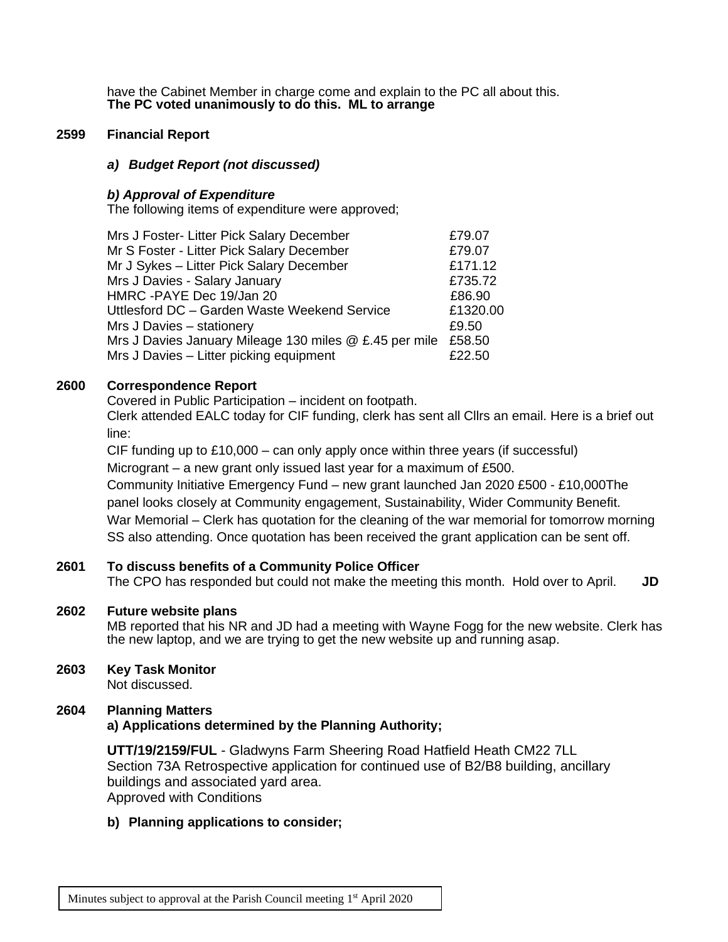have the Cabinet Member in charge come and explain to the PC all about this. **The PC voted unanimously to do this. ML to arrange**

### **2599 Financial Report**

### *a) Budget Report (not discussed)*

### *b) Approval of Expenditure*

The following items of expenditure were approved;

| Mrs J Foster- Litter Pick Salary December                     | £79.07   |
|---------------------------------------------------------------|----------|
| Mr S Foster - Litter Pick Salary December                     | £79.07   |
| Mr J Sykes - Litter Pick Salary December                      | £171.12  |
| Mrs J Davies - Salary January                                 | £735.72  |
| HMRC -PAYE Dec 19/Jan 20                                      | £86.90   |
| Uttlesford DC - Garden Waste Weekend Service                  | £1320.00 |
| Mrs J Davies - stationery                                     | £9.50    |
| Mrs J Davies January Mileage 130 miles @ £.45 per mile £58.50 |          |
| Mrs J Davies - Litter picking equipment                       | £22.50   |

## **2600 Correspondence Report**

Covered in Public Participation – incident on footpath. Clerk attended EALC today for CIF funding, clerk has sent all Cllrs an email. Here is a brief out line:

CIF funding up to £10,000 – can only apply once within three years (if successful) Microgrant – a new grant only issued last year for a maximum of £500. Community Initiative Emergency Fund – new grant launched Jan 2020 £500 - £10,000The panel looks closely at Community engagement, Sustainability, Wider Community Benefit. War Memorial – Clerk has quotation for the cleaning of the war memorial for tomorrow morning SS also attending. Once quotation has been received the grant application can be sent off.

## **2601 To discuss benefits of a Community Police Officer**

The CPO has responded but could not make the meeting this month. Hold over to April. **JD** 

#### **2602 Future website plans**

MB reported that his NR and JD had a meeting with Wayne Fogg for the new website. Clerk has the new laptop, and we are trying to get the new website up and running asap.

## **2603 Key Task Monitor**

Not discussed.

#### **2604 Planning Matters**

## **a) Applications determined by the Planning Authority;**

**UTT/19/2159/FUL** - Gladwyns Farm Sheering Road Hatfield Heath CM22 7LL Section 73A Retrospective application for continued use of B2/B8 building, ancillary buildings and associated yard area. Approved with Conditions

#### **b) Planning applications to consider;**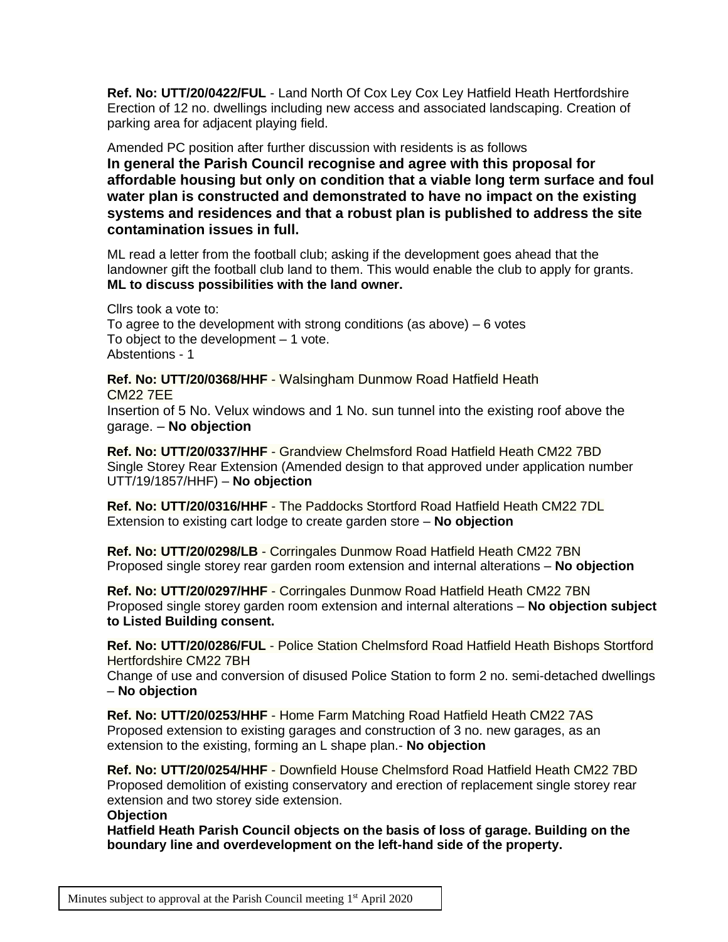**Ref. No: UTT/20/0422/FUL** - Land North Of Cox Ley Cox Ley Hatfield Heath Hertfordshire Erection of 12 no. dwellings including new access and associated landscaping. Creation of parking area for adjacent playing field.

Amended PC position after further discussion with residents is as follows **In general the Parish Council recognise and agree with this proposal for affordable housing but only on condition that a viable long term surface and foul water plan is constructed and demonstrated to have no impact on the existing systems and residences and that a robust plan is published to address the site contamination issues in full.**

ML read a letter from the football club; asking if the development goes ahead that the landowner gift the football club land to them. This would enable the club to apply for grants. **ML to discuss possibilities with the land owner.**

Cllrs took a vote to: To agree to the development with strong conditions (as above) – 6 votes To object to the development  $-1$  vote. Abstentions - 1

**Ref. No: UTT/20/0368/HHF** - Walsingham Dunmow Road Hatfield Heath CM22 7EE

Insertion of 5 No. Velux windows and 1 No. sun tunnel into the existing roof above the garage. – **No objection**

**Ref. No: UTT/20/0337/HHF** - Grandview Chelmsford Road Hatfield Heath CM22 7BD Single Storey Rear Extension (Amended design to that approved under application number UTT/19/1857/HHF) – **No objection**

**Ref. No: UTT/20/0316/HHF** - The Paddocks Stortford Road Hatfield Heath CM22 7DL Extension to existing cart lodge to create garden store – **No objection**

**Ref. No: UTT/20/0298/LB** - Corringales Dunmow Road Hatfield Heath CM22 7BN Proposed single storey rear garden room extension and internal alterations – **No objection**

**Ref. No: UTT/20/0297/HHF** - Corringales Dunmow Road Hatfield Heath CM22 7BN Proposed single storey garden room extension and internal alterations – **No objection subject to Listed Building consent.**

**Ref. No: UTT/20/0286/FUL** - Police Station Chelmsford Road Hatfield Heath Bishops Stortford Hertfordshire CM22 7BH

Change of use and conversion of disused Police Station to form 2 no. semi-detached dwellings – **No objection**

**Ref. No: UTT/20/0253/HHF** - Home Farm Matching Road Hatfield Heath CM22 7AS Proposed extension to existing garages and construction of 3 no. new garages, as an extension to the existing, forming an L shape plan.- **No objection**

**Ref. No: UTT/20/0254/HHF** - Downfield House Chelmsford Road Hatfield Heath CM22 7BD Proposed demolition of existing conservatory and erection of replacement single storey rear extension and two storey side extension.

## **Objection**

**Hatfield Heath Parish Council objects on the basis of loss of garage. Building on the boundary line and overdevelopment on the left-hand side of the property.**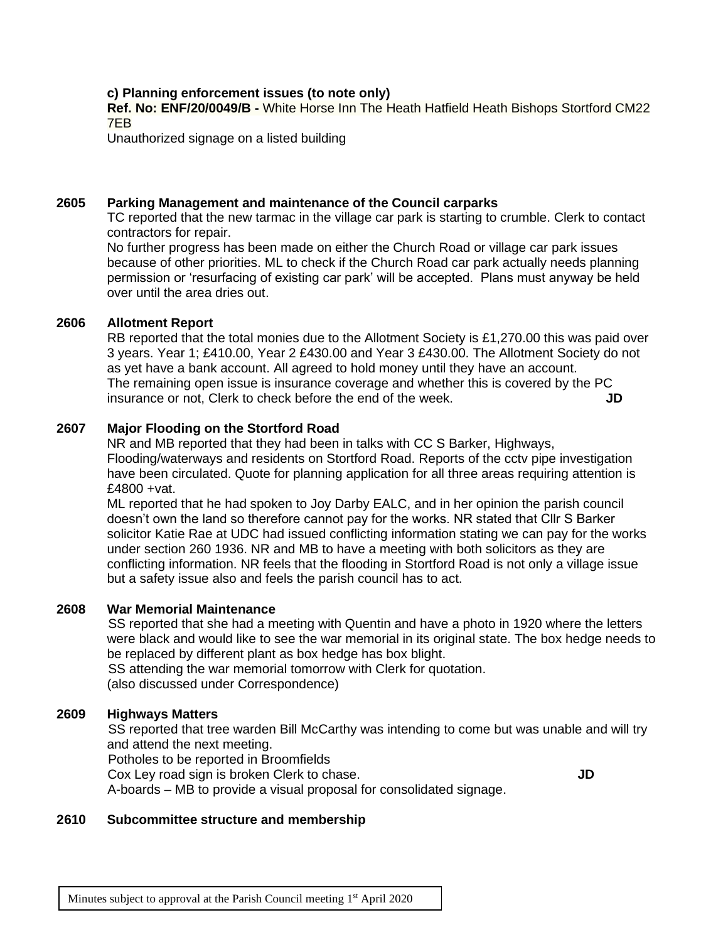## **c) Planning enforcement issues (to note only)**

**Ref. No: ENF/20/0049/B -** White Horse Inn The Heath Hatfield Heath Bishops Stortford CM22 7EB

Unauthorized signage on a listed building

#### **2605 Parking Management and maintenance of the Council carparks**

TC reported that the new tarmac in the village car park is starting to crumble. Clerk to contact contractors for repair.

No further progress has been made on either the Church Road or village car park issues because of other priorities. ML to check if the Church Road car park actually needs planning permission or 'resurfacing of existing car park' will be accepted. Plans must anyway be held over until the area dries out.

## **2606 Allotment Report**

RB reported that the total monies due to the Allotment Society is £1,270.00 this was paid over 3 years. Year 1; £410.00, Year 2 £430.00 and Year 3 £430.00. The Allotment Society do not as yet have a bank account. All agreed to hold money until they have an account. The remaining open issue is insurance coverage and whether this is covered by the PC insurance or not, Clerk to check before the end of the week. **JD** 

#### **2607 Major Flooding on the Stortford Road**

NR and MB reported that they had been in talks with CC S Barker, Highways, Flooding/waterways and residents on Stortford Road. Reports of the cctv pipe investigation have been circulated. Quote for planning application for all three areas requiring attention is £4800 +vat.

ML reported that he had spoken to Joy Darby EALC, and in her opinion the parish council doesn't own the land so therefore cannot pay for the works. NR stated that Cllr S Barker solicitor Katie Rae at UDC had issued conflicting information stating we can pay for the works under section 260 1936. NR and MB to have a meeting with both solicitors as they are conflicting information. NR feels that the flooding in Stortford Road is not only a village issue but a safety issue also and feels the parish council has to act.

#### **2608 War Memorial Maintenance**

SS reported that she had a meeting with Quentin and have a photo in 1920 where the letters were black and would like to see the war memorial in its original state. The box hedge needs to be replaced by different plant as box hedge has box blight.

SS attending the war memorial tomorrow with Clerk for quotation. (also discussed under Correspondence)

#### **2609 Highways Matters**

SS reported that tree warden Bill McCarthy was intending to come but was unable and will try and attend the next meeting.

Potholes to be reported in Broomfields

Cox Ley road sign is broken Clerk to chase. **JD**

A-boards – MB to provide a visual proposal for consolidated signage.

#### **2610 Subcommittee structure and membership**